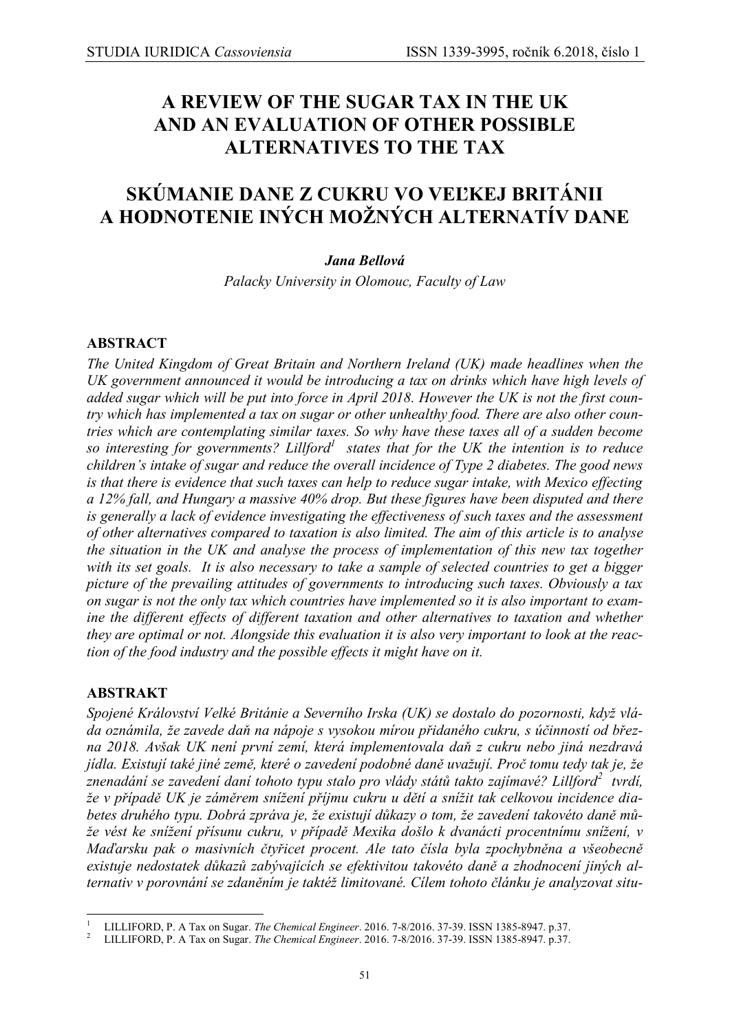# **A REVIEW OF THE SUGAR TAX IN THE UK AND AN EVALUATION OF OTHER POSSIBLE ALTERNATIVES TO THE TAX**

# **SKÚMANIE DANE Z CUKRU VO VEĽKEJ BRITÁNII A HODNOTENIE INÝCH MOŽNÝCH ALTERNATÍV DANE**

## *Jana Bellová*

*Palacky University in Olomouc, Faculty of Law*

### **ABSTRACT**

*The United Kingdom of Great Britain and Northern Ireland (UK) made headlines when the UK government announced it would be introducing a tax on drinks which have high levels of added sugar which will be put into force in April 2018. However the UK is not the first country which has implemented a tax on sugar or other unhealthy food. There are also other countries which are contemplating similar taxes. So why have these taxes all of a sudden become so interesting for governments? Lillford<sup>1</sup> states that for the UK the intention is to reduce children's intake of sugar and reduce the overall incidence of Type 2 diabetes. The good news is that there is evidence that such taxes can help to reduce sugar intake, with Mexico effecting a 12% fall, and Hungary a massive 40% drop. But these figures have been disputed and there is generally a lack of evidence investigating the effectiveness of such taxes and the assessment of other alternatives compared to taxation is also limited. The aim of this article is to analyse the situation in the UK and analyse the process of implementation of this new tax together with its set goals. It is also necessary to take a sample of selected countries to get a bigger picture of the prevailing attitudes of governments to introducing such taxes. Obviously a tax on sugar is not the only tax which countries have implemented so it is also important to examine the different effects of different taxation and other alternatives to taxation and whether they are optimal or not. Alongside this evaluation it is also very important to look at the reaction of the food industry and the possible effects it might have on it.*

### **ABSTRAKT**

*Spojené Království Velké Británie a Severního Irska (UK) se dostalo do pozornosti, když vláda oznámila, že zavede daň na nápoje s vysokou mírou přidaného cukru, s účinností od března 2018. Avšak UK není první zemí, která implementovala daň z cukru nebo jiná nezdravá jídla. Existují také jiné země, které o zavedení podobné daně uvažují. Proč tomu tedy tak je, že znenadání se zavedení daní tohoto typu stalo pro vlády států takto zajímavé? Lillford<sup>2</sup> tvrdí, že v případě UK je záměrem snížení příjmu cukru u dětí a snížit tak celkovou incidence diabetes druhého typu. Dobrá zpráva je, že existují důkazy o tom, že zavedení takovéto daně může vést ke snížení přísunu cukru, v případě Mexika došlo k dvanácti procentnímu snížení, v Maďarsku pak o masivních čtyřicet procent. Ale tato čísla byla zpochybněna a všeobecně existuje nedostatek důkazů zabývajících se efektivitou takovéto daně a zhodnocení jiných alternativ v porovnání se zdaněním je taktéž limitované. Cílem tohoto článku je analyzovat situ-*

<sup>1</sup> <sup>1</sup> LILLIFORD, P. A Tax on Sugar. *The Chemical Engineer*. 2016. 7-8/2016. 37-39. ISSN 1385-8947. p.37.

<sup>2</sup> LILLIFORD, P. A Tax on Sugar. *The Chemical Engineer*. 2016. 7-8/2016. 37-39. ISSN 1385-8947. p.37.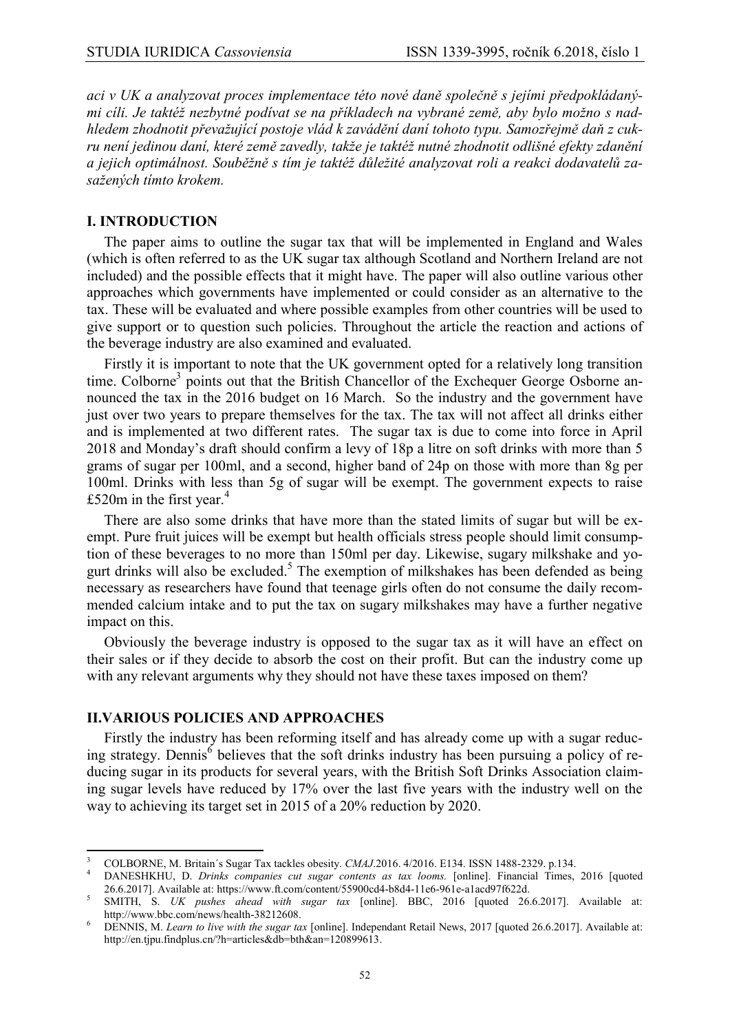*aci v UK a analyzovat proces implementace této nové daně společně s jejími předpokládanými cíli. Je taktéž nezbytné podívat se na příkladech na vybrané země, aby bylo možno s nadhledem zhodnotit převažující postoje vlád k zavádění daní tohoto typu. Samozřejmě daň z cukru není jedinou daní, které země zavedly, takže je taktéž nutné zhodnotit odlišné efekty zdanění a jejich optimálnost. Souběžně s tím je taktéž důležité analyzovat roli a reakci dodavatelů zasažených tímto krokem.* 

#### **I. INTRODUCTION**

The paper aims to outline the sugar tax that will be implemented in England and Wales (which is often referred to as the UK sugar tax although Scotland and Northern Ireland are not included) and the possible effects that it might have. The paper will also outline various other approaches which governments have implemented or could consider as an alternative to the tax. These will be evaluated and where possible examples from other countries will be used to give support or to question such policies. Throughout the article the reaction and actions of the beverage industry are also examined and evaluated.

Firstly it is important to note that the UK government opted for a relatively long transition time. Colborne<sup>3</sup> points out that the British Chancellor of the Exchequer George Osborne announced the tax in the 2016 budget on 16 March. So the industry and the government have just over two years to prepare themselves for the tax. The tax will not affect all drinks either and is implemented at two different rates. The sugar tax is due to come into force in April 2018 and Monday's draft should confirm a levy of 18p a litre on soft drinks with more than 5 grams of sugar per 100ml, and a second, higher band of 24p on those with more than 8g per 100ml. Drinks with less than 5g of sugar will be exempt. The government expects to raise £520 $m$  in the first year.<sup>4</sup>

There are also some drinks that have more than the stated limits of sugar but will be exempt. Pure fruit juices will be exempt but health officials stress people should limit consumption of these beverages to no more than 150ml per day. Likewise, sugary milkshake and yogurt drinks will also be excluded.<sup>5</sup> The exemption of milkshakes has been defended as being necessary as researchers have found that teenage girls often do not consume the daily recommended calcium intake and to put the tax on sugary milkshakes may have a further negative impact on this.

Obviously the beverage industry is opposed to the sugar tax as it will have an effect on their sales or if they decide to absorb the cost on their profit. But can the industry come up with any relevant arguments why they should not have these taxes imposed on them?

#### **II.VARIOUS POLICIES AND APPROACHES**

Firstly the industry has been reforming itself and has already come up with a sugar reducing strategy. Dennis<sup>6</sup> believes that the soft drinks industry has been pursuing a policy of reducing sugar in its products for several years, with the British Soft Drinks Association claiming sugar levels have reduced by 17% over the last five years with the industry well on the way to achieving its target set in 2015 of a 20% reduction by 2020.

 $\overline{\mathbf{3}}$ <sup>3</sup> COLBORNE, M. Britain's Sugar Tax tackles obesity. *CMAJ*.2016. 4/2016. E134. ISSN 1488-2329. p.134.

<sup>4</sup> DANESHKHU, D. *Drinks companies cut sugar contents as tax looms.* [online]. Financial Times, 2016 [quoted 26.6.2017]. Available at: [https://www.ft.com/content/55900cd4-b8d4-11e6-961e-a1acd97f622d.](https://www.ft.com/content/55900cd4-b8d4-11e6-961e-a1acd97f622d) 5

SMITH, S. *UK pushes ahead with sugar tax* [online]. BBC, 2016 [quoted 26.6.2017]. Available at: [http://www.bbc.com/news/health-38212608.](http://www.bbc.com/news/health-38212608) 

<sup>6</sup> DENNIS, M. *Learn to live with the sugar tax* [online]. Independant Retail News, 2017 [quoted 26.6.2017]. Available at: [http://en.tjpu.findplus.cn/?h=articles&db=bth&an=120899613.](http://en.tjpu.findplus.cn/?h=articles&db=bth&an=120899613)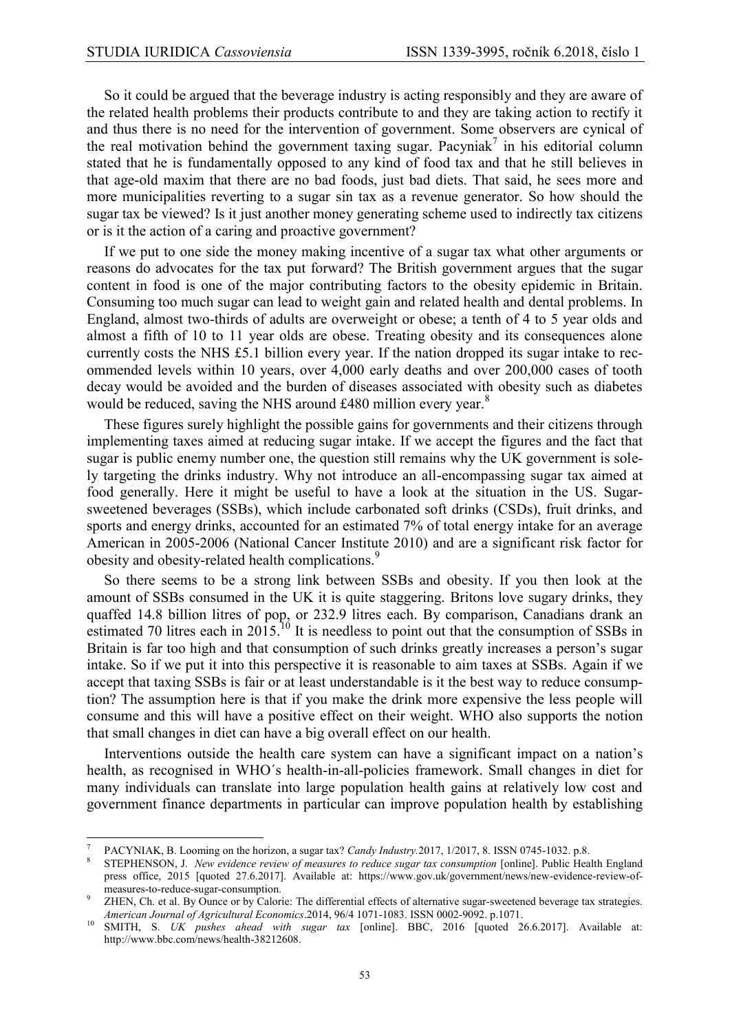So it could be argued that the beverage industry is acting responsibly and they are aware of the related health problems their products contribute to and they are taking action to rectify it and thus there is no need for the intervention of government. Some observers are cynical of the real motivation behind the government taxing sugar. Pacyniak<sup>7</sup> in his editorial column stated that he is fundamentally opposed to any kind of food tax and that he still believes in that age-old maxim that there are no bad foods, just bad diets. That said, he sees more and more municipalities reverting to a sugar sin tax as a revenue generator. So how should the sugar tax be viewed? Is it just another money generating scheme used to indirectly tax citizens or is it the action of a caring and proactive government?

If we put to one side the money making incentive of a sugar tax what other arguments or reasons do advocates for the tax put forward? The British government argues that the sugar content in food is one of the major contributing factors to the obesity epidemic in Britain. Consuming too much sugar can lead to weight gain and related health and dental problems. In England, almost two-thirds of adults are overweight or obese; a tenth of 4 to 5 year olds and almost a fifth of 10 to 11 year olds are obese. Treating obesity and its consequences alone currently costs the NHS £5.1 billion every year. If the nation dropped its sugar intake to recommended levels within 10 years, over 4,000 early deaths and over 200,000 cases of tooth decay would be avoided and the burden of diseases associated with obesity such as diabetes would be reduced, saving the NHS around £480 million every year.<sup>8</sup>

These figures surely highlight the possible gains for governments and their citizens through implementing taxes aimed at reducing sugar intake. If we accept the figures and the fact that sugar is public enemy number one, the question still remains why the UK government is solely targeting the drinks industry. Why not introduce an all-encompassing sugar tax aimed at food generally. Here it might be useful to have a look at the situation in the US. Sugarsweetened beverages (SSBs), which include carbonated soft drinks (CSDs), fruit drinks, and sports and energy drinks, accounted for an estimated 7% of total energy intake for an average American in 2005-2006 (National Cancer Institute 2010) and are a significant risk factor for obesity and obesity-related health complications.<sup>9</sup>

So there seems to be a strong link between SSBs and obesity. If you then look at the amount of SSBs consumed in the UK it is quite staggering. Britons love sugary drinks, they quaffed 14.8 billion litres of pop, or 232.9 litres each. By comparison, Canadians drank an estimated 70 litres each in  $2015$ <sup>10</sup> It is needless to point out that the consumption of SSBs in Britain is far too high and that consumption of such drinks greatly increases a person's sugar intake. So if we put it into this perspective it is reasonable to aim taxes at SSBs. Again if we accept that taxing SSBs is fair or at least understandable is it the best way to reduce consumption? The assumption here is that if you make the drink more expensive the less people will consume and this will have a positive effect on their weight. WHO also supports the notion that small changes in diet can have a big overall effect on our health.

Interventions outside the health care system can have a significant impact on a nation's health, as recognised in WHO´s health-in-all-policies framework. Small changes in diet for many individuals can translate into large population health gains at relatively low cost and government finance departments in particular can improve population health by establishing

**<sup>.</sup>** 7 PACYNIAK, B. Looming on the horizon, a sugar tax? *Candy Industry.*2017, 1/2017, 8. ISSN 0745-1032. p.8.

<sup>8</sup> STEPHENSON, J. *New evidence review of measures to reduce sugar tax consumption* [online]. Public Health England press office, 2015 [quoted 27.6.2017]. Available at: https://www.gov.uk/government/news/new-evidence-review-ofmeasures-to-reduce-sugar-consumption.

ZHEN, Ch. et al. By Ounce or by Calorie: The differential effects of alternative sugar-sweetened beverage tax strategies. *American Journal of Agricultural Economics*.2014, 96/4 1071-1083. ISSN 0002-9092. p.1071.

<sup>10</sup> SMITH, S. *UK pushes ahead with sugar tax* [online]. BBC, 2016 [quoted 26.6.2017]. Available at: [http://www.bbc.com/news/health-38212608.](http://www.bbc.com/news/health-38212608)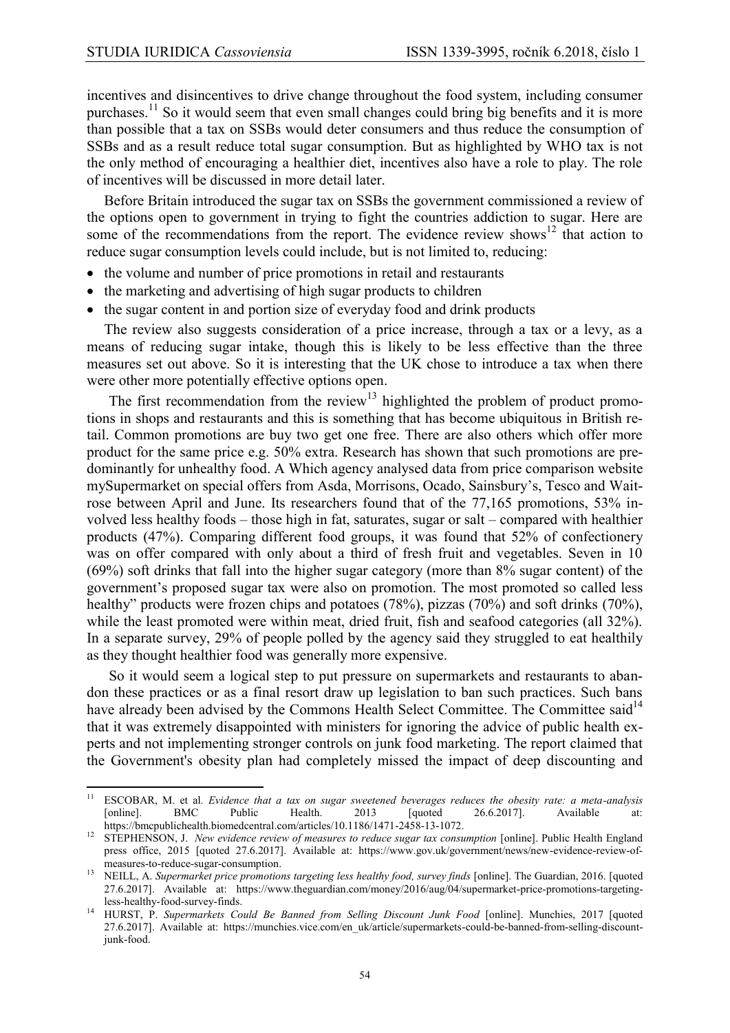incentives and disincentives to drive change throughout the food system, including consumer purchases.<sup>11</sup> So it would seem that even small changes could bring big benefits and it is more than possible that a tax on SSBs would deter consumers and thus reduce the consumption of SSBs and as a result reduce total sugar consumption. But as highlighted by WHO tax is not the only method of encouraging a healthier diet, incentives also have a role to play. The role of incentives will be discussed in more detail later.

Before Britain introduced the sugar tax on SSBs the government commissioned a review of the options open to government in trying to fight the countries addiction to sugar. Here are some of the recommendations from the report. The evidence review shows<sup>12</sup> that action to reduce sugar consumption levels could include, but is not limited to, reducing:

- the volume and number of price promotions in retail and restaurants
- the marketing and advertising of high sugar products to children
- the sugar content in and portion size of everyday food and drink products

The review also suggests consideration of a price increase, through a tax or a levy, as a means of reducing sugar intake, though this is likely to be less effective than the three measures set out above. So it is interesting that the UK chose to introduce a tax when there were other more potentially effective options open.

The first recommendation from the review<sup>13</sup> highlighted the problem of product promotions in shops and restaurants and this is something that has become ubiquitous in British retail. Common promotions are buy two get one free. There are also others which offer more product for the same price e.g. 50% extra. Research has shown that such promotions are predominantly for unhealthy food. A Which agency analysed data from price comparison website mySupermarket on special offers from Asda, Morrisons, Ocado, Sainsbury's, Tesco and Waitrose between April and June. Its researchers found that of the 77,165 promotions, 53% involved less healthy foods – those high in fat, saturates, sugar or salt – compared with healthier products (47%). Comparing different food groups, it was found that 52% of confectionery was on offer compared with only about a third of fresh fruit and vegetables. Seven in 10 (69%) soft drinks that fall into the higher sugar category (more than 8% sugar content) of the government's proposed sugar tax were also on promotion. The most promoted so called less healthy" products were frozen chips and potatoes (78%), pizzas (70%) and soft drinks (70%), while the least promoted were within meat, dried fruit, fish and seafood categories (all 32%). In a separate survey, 29% of people polled by the agency said they struggled to eat healthily as they thought healthier food was generally more expensive.

So it would seem a logical step to put pressure on supermarkets and restaurants to abandon these practices or as a final resort draw up legislation to ban such practices. Such bans have already been advised by the Commons Health Select Committee. The Committee said<sup>14</sup> that it was extremely disappointed with ministers for ignoring the advice of public health experts and not implementing stronger controls on junk food marketing. The report claimed that the Government's obesity plan had completely missed the impact of deep discounting and

 $11\,$ 11 ESCOBAR, M. et al. *Evidence that a tax on sugar sweetened beverages reduces the obesity rate: a meta-analysis* [online]. BMC Public Health. 2013 [quoted 26.6.2017]. Available at: [online]. BMC Public Health. 2013 [quoted 26.6.2017]. Available at: https://bmcpublichealth.biomedcentral.com/articles/10.1186/1471-2458-13-1072.

<sup>&</sup>lt;sup>12</sup> STEPHENSON, J. *New evidence review of measures to reduce sugar tax consumption* [online]. Public Health England press office, 2015 [quoted 27.6.2017]. Available at: https://www.gov.uk/government/news/new-evidence-review-ofmeasures-to-reduce-sugar-consumption.

<sup>13</sup> NEILL, A. *Supermarket price promotions targeting less healthy food, survey finds* [online]. The Guardian, 2016. [quoted 27.6.2017]. Available at: https://www.theguardian.com/money/2016/aug/04/supermarket-price-promotions-targetingless-healthy-food-survey-finds.

<sup>14</sup> HURST, P. *Supermarkets Could Be Banned from Selling Discount Junk Food* [online]. Munchies, 2017 [quoted 27.6.2017]. Available at: https://munchies.vice.com/en\_uk/article/supermarkets-could-be-banned-from-selling-discountjunk-food.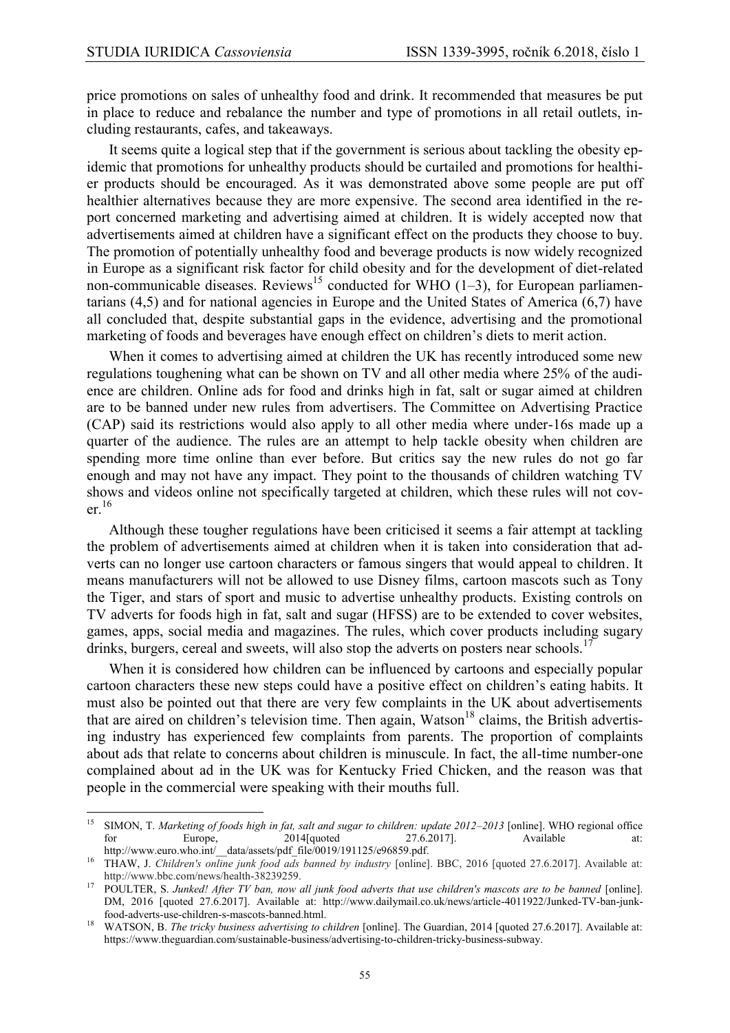price promotions on sales of unhealthy food and drink. It recommended that measures be put in place to reduce and rebalance the number and type of promotions in all retail outlets, including restaurants, cafes, and takeaways.

It seems quite a logical step that if the government is serious about tackling the obesity epidemic that promotions for unhealthy products should be curtailed and promotions for healthier products should be encouraged. As it was demonstrated above some people are put off healthier alternatives because they are more expensive. The second area identified in the report concerned marketing and advertising aimed at children. It is widely accepted now that advertisements aimed at children have a significant effect on the products they choose to buy. The promotion of potentially unhealthy food and beverage products is now widely recognized in Europe as a significant risk factor for child obesity and for the development of diet-related non-communicable diseases. Reviews<sup>15</sup> conducted for WHO (1–3), for European parliamentarians (4,5) and for national agencies in Europe and the United States of America (6,7) have all concluded that, despite substantial gaps in the evidence, advertising and the promotional marketing of foods and beverages have enough effect on children's diets to merit action.

When it comes to advertising aimed at children the UK has recently introduced some new regulations toughening what can be shown on TV and all other media where 25% of the audience are children. Online ads for food and drinks high in fat, salt or sugar aimed at children are to be banned under new rules from advertisers. The Committee on Advertising Practice (CAP) said its restrictions would also apply to all other media where under-16s made up a quarter of the audience. The rules are an attempt to help tackle obesity when children are spending more time online than ever before. But critics say the new rules do not go far enough and may not have any impact. They point to the thousands of children watching TV shows and videos online not specifically targeted at children, which these rules will not cov $er<sup>16</sup>$ 

Although these tougher regulations have been criticised it seems a fair attempt at tackling the problem of advertisements aimed at children when it is taken into consideration that adverts can no longer use cartoon characters or famous singers that would appeal to children. It means manufacturers will not be allowed to use Disney films, cartoon mascots such as Tony the Tiger, and stars of sport and music to advertise unhealthy products. Existing controls on TV adverts for foods high in fat, salt and sugar (HFSS) are to be extended to cover websites, games, apps, social media and magazines. The rules, which cover products including sugary drinks, burgers, cereal and sweets, will also stop the adverts on posters near schools.<sup>17</sup>

When it is considered how children can be influenced by cartoons and especially popular cartoon characters these new steps could have a positive effect on children's eating habits. It must also be pointed out that there are very few complaints in the UK about advertisements that are aired on children's television time. Then again, Watson<sup>18</sup> claims, the British advertising industry has experienced few complaints from parents. The proportion of complaints about ads that relate to concerns about children is minuscule. In fact, the all-time number-one complained about ad in the UK was for Kentucky Fried Chicken, and the reason was that people in the commercial were speaking with their mouths full.

 $15\,$ <sup>15</sup> SIMON, T. *Marketing of foods high in fat, salt and sugar to children: update 2012–2013* [online]. WHO regional office for Europe, 2014 [quoted 27.6.2017]. Available at: http://www.euro.who.int/\_data/assets/pdf\_file/0019/191125/e96859.pdf.

<sup>16</sup> THAW, J. *Children's online junk food ads banned by industry* [online]. BBC, 2016 [quoted 27.6.2017]. Available at: http://www.bbc.com/news/health-38239259.

<sup>&</sup>lt;sup>17</sup> POULTER, S. Junked! After TV ban, now all junk food adverts that use children's mascots are to be banned [online]. DM, 2016 [quoted 27.6.2017]. Available at: http://www.dailymail.co.uk/news/article-4011922/Junked-TV-ban-junkfood-adverts-use-children-s-mascots-banned.html.

<sup>18</sup> WATSON, B. *The tricky business advertising to children* [online]. The Guardian, 2014 [quoted 27.6.2017]. Available at: https://www.theguardian.com/sustainable-business/advertising-to-children-tricky-business-subway.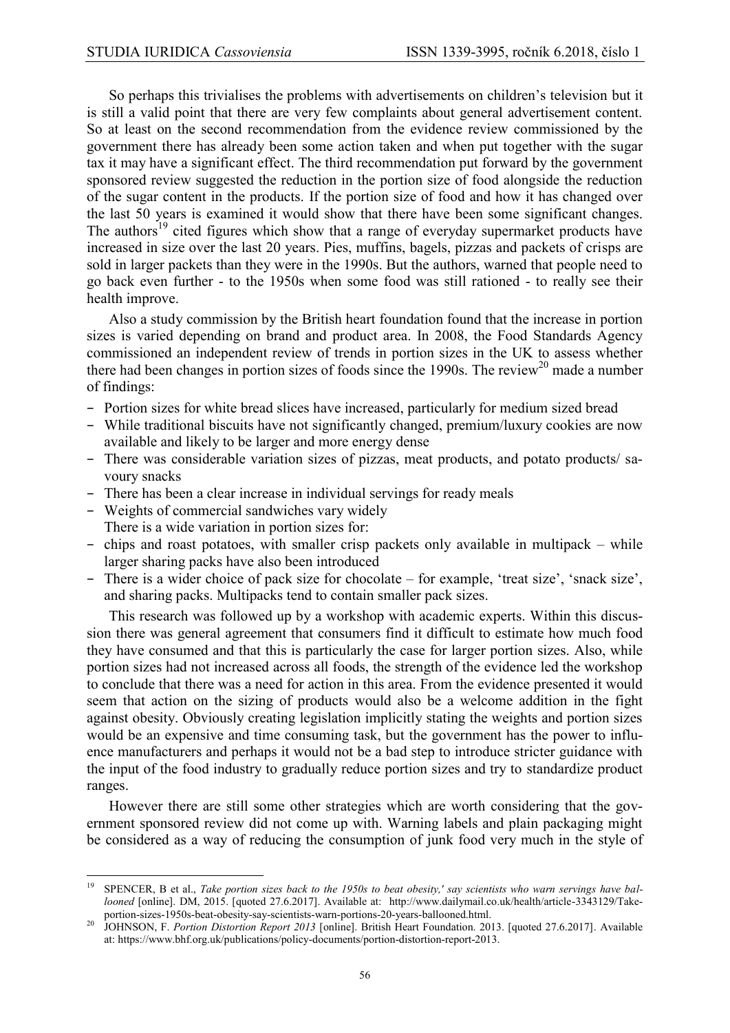So perhaps this trivialises the problems with advertisements on children's television but it is still a valid point that there are very few complaints about general advertisement content. So at least on the second recommendation from the evidence review commissioned by the government there has already been some action taken and when put together with the sugar tax it may have a significant effect. The third recommendation put forward by the government sponsored review suggested the reduction in the portion size of food alongside the reduction of the sugar content in the products. If the portion size of food and how it has changed over the last 50 years is examined it would show that there have been some significant changes. The authors<sup>19</sup> cited figures which show that a range of everyday supermarket products have increased in size over the last 20 years. Pies, muffins, bagels, pizzas and packets of crisps are sold in larger packets than they were in the 1990s. But the authors, warned that people need to go back even further - to the 1950s when some food was still rationed - to really see their health improve.

Also a study commission by the British heart foundation found that the increase in portion sizes is varied depending on brand and product area. In 2008, the Food Standards Agency commissioned an independent review of trends in portion sizes in the UK to assess whether there had been changes in portion sizes of foods since the 1990s. The review<sup>20</sup> made a number of findings:

- − Portion sizes for white bread slices have increased, particularly for medium sized bread
- − While traditional biscuits have not significantly changed, premium/luxury cookies are now available and likely to be larger and more energy dense
- − There was considerable variation sizes of pizzas, meat products, and potato products/ savoury snacks
- − There has been a clear increase in individual servings for ready meals
- − Weights of commercial sandwiches vary widely
- There is a wide variation in portion sizes for:
- − chips and roast potatoes, with smaller crisp packets only available in multipack while larger sharing packs have also been introduced
- − There is a wider choice of pack size for chocolate for example, 'treat size', 'snack size', and sharing packs. Multipacks tend to contain smaller pack sizes.

This research was followed up by a workshop with academic experts. Within this discussion there was general agreement that consumers find it difficult to estimate how much food they have consumed and that this is particularly the case for larger portion sizes. Also, while portion sizes had not increased across all foods, the strength of the evidence led the workshop to conclude that there was a need for action in this area. From the evidence presented it would seem that action on the sizing of products would also be a welcome addition in the fight against obesity. Obviously creating legislation implicitly stating the weights and portion sizes would be an expensive and time consuming task, but the government has the power to influence manufacturers and perhaps it would not be a bad step to introduce stricter guidance with the input of the food industry to gradually reduce portion sizes and try to standardize product ranges.

However there are still some other strategies which are worth considering that the government sponsored review did not come up with. Warning labels and plain packaging might be considered as a way of reducing the consumption of junk food very much in the style of

<sup>19</sup> <sup>19</sup> SPENCER, B et al., *Take portion sizes back to the 1950s to beat obesity,' say scientists who warn servings have ballooned* [online]. DM, 2015. [quoted 27.6.2017]. Available at: http://www.dailymail.co.uk/health/article-3343129/Takeportion-sizes-1950s-beat-obesity-say-scientists-warn-portions-20-years-ballooned.html.

<sup>20</sup> JOHNSON, F. *Portion Distortion Report 2013* [online]. British Heart Foundation. 2013. [quoted 27.6.2017]. Available at: https://www.bhf.org.uk/publications/policy-documents/portion-distortion-report-2013.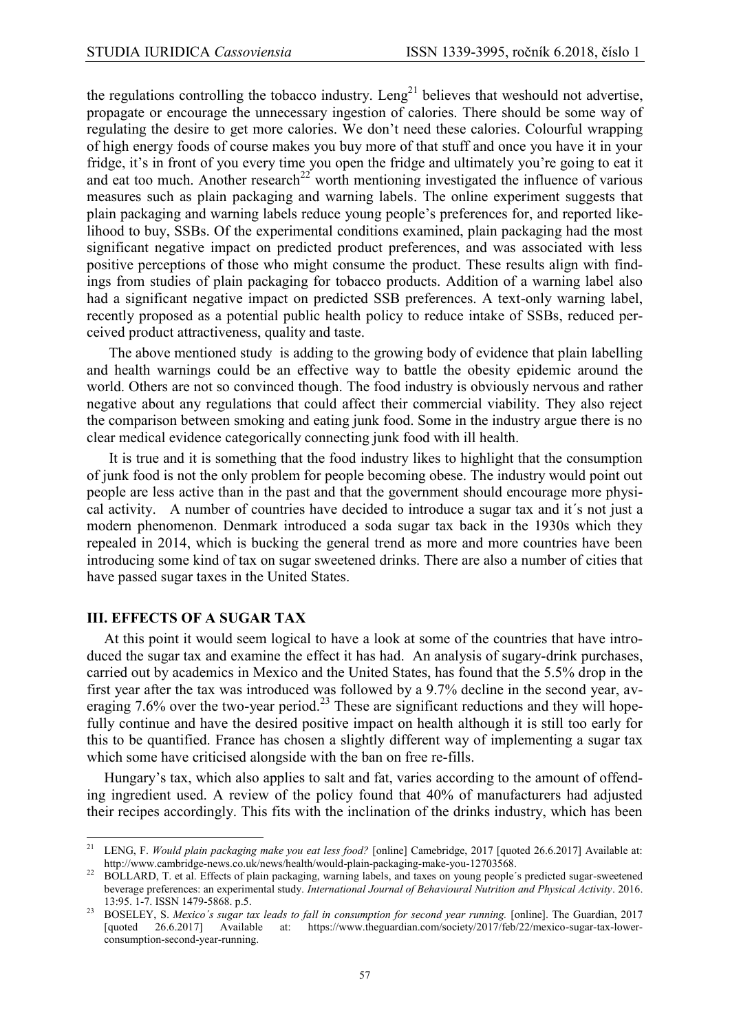the regulations controlling the tobacco industry.  $Leng<sup>21</sup>$  believes that weshould not advertise, propagate or encourage the unnecessary ingestion of calories. There should be some way of regulating the desire to get more calories. We don't need these calories. Colourful wrapping of high energy foods of course makes you buy more of that stuff and once you have it in your fridge, it's in front of you every time you open the fridge and ultimately you're going to eat it and eat too much. Another research<sup>22</sup> worth mentioning investigated the influence of various measures such as plain packaging and warning labels. The online experiment suggests that plain packaging and warning labels reduce young people's preferences for, and reported likelihood to buy, SSBs. Of the experimental conditions examined, plain packaging had the most significant negative impact on predicted product preferences, and was associated with less positive perceptions of those who might consume the product. These results align with findings from studies of plain packaging for tobacco products. Addition of a warning label also had a significant negative impact on predicted SSB preferences. A text-only warning label, recently proposed as a potential public health policy to reduce intake of SSBs, reduced perceived product attractiveness, quality and taste.

The above mentioned study is adding to the growing body of evidence that plain labelling and health warnings could be an effective way to battle the obesity epidemic around the world. Others are not so convinced though. The food industry is obviously nervous and rather negative about any regulations that could affect their commercial viability. They also reject the comparison between smoking and eating junk food. Some in the industry argue there is no clear medical evidence categorically connecting junk food with ill health.

It is true and it is something that the food industry likes to highlight that the consumption of junk food is not the only problem for people becoming obese. The industry would point out people are less active than in the past and that the government should encourage more physical activity. A number of countries have decided to introduce a sugar tax and it´s not just a modern phenomenon. Denmark introduced a soda sugar tax back in the 1930s which they repealed in 2014, which is bucking the general trend as more and more countries have been introducing some kind of tax on sugar sweetened drinks. There are also a number of cities that have passed sugar taxes in the United States.

### **III. EFFECTS OF A SUGAR TAX**

At this point it would seem logical to have a look at some of the countries that have introduced the sugar tax and examine the effect it has had. An analysis of sugary-drink purchases, carried out by academics in Mexico and the United States, has found that the 5.5% drop in the first year after the tax was introduced was followed by a 9.7% decline in the second year, averaging 7.6% over the two-year period.<sup>23</sup> These are significant reductions and they will hopefully continue and have the desired positive impact on health although it is still too early for this to be quantified. France has chosen a slightly different way of implementing a sugar tax which some have criticised alongside with the ban on free re-fills.

Hungary's tax, which also applies to salt and fat, varies according to the amount of offending ingredient used. A review of the policy found that 40% of manufacturers had adjusted their recipes accordingly. This fits with the inclination of the drinks industry, which has been

 $21\,$ <sup>21</sup> LENG, F. *Would plain packaging make you eat less food?* [online] Camebridge, 2017 [quoted 26.6.2017] Available at: http://www.cambridge-news.co.uk/news/health/would-plain-packaging-make-you-12703568.

<sup>&</sup>lt;sup>22</sup> BOLLARD, T. et al. Effects of plain packaging, warning labels, and taxes on young people's predicted sugar-sweetened beverage preferences: an experimental study. *International Journal of Behavioural Nutrition and Physical Activity*. 2016. 13:95. 1-7. ISSN 1479-5868. p.5.

<sup>23</sup> BOSELEY, S. *Mexico´s sugar tax leads to fall in consumption for second year running.* [online]. The Guardian, 2017 [quoted 26.6.2017] Available at: https://www.theguardian.com/society/2017/feb/22/mexico-sugar-tax-lowerconsumption-second-year-running.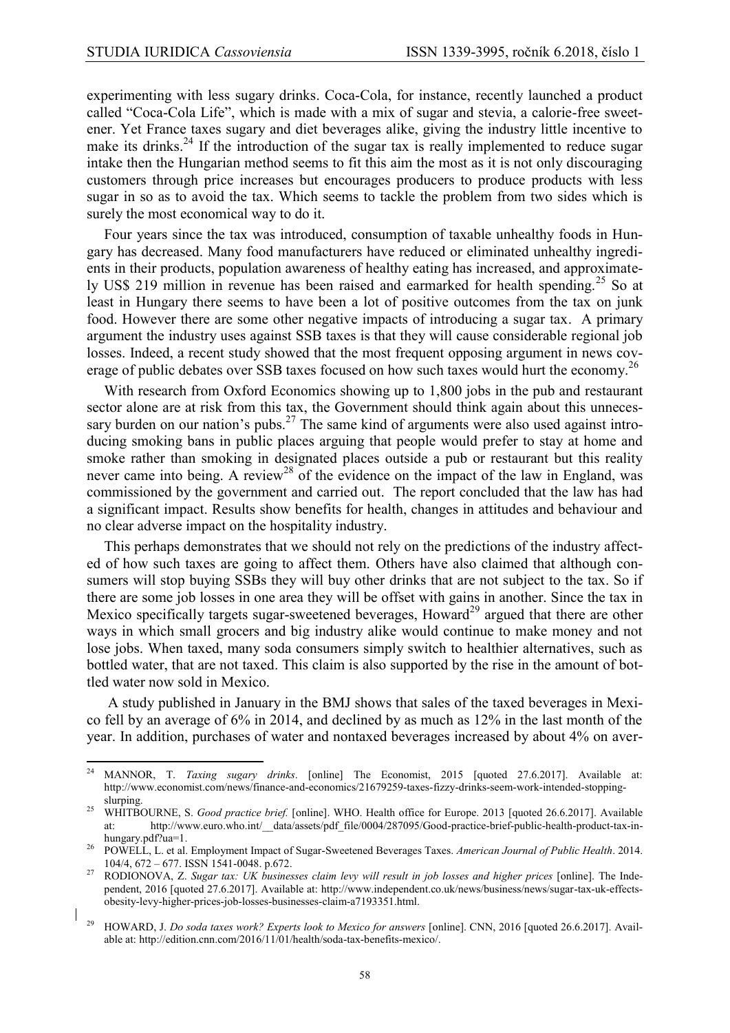experimenting with less sugary drinks. Coca-Cola, for instance, recently launched a product called "Coca-Cola Life", which is made with a mix of sugar and stevia, a calorie-free sweetener. Yet France taxes sugary and diet beverages alike, giving the industry little incentive to make its drinks.<sup>24</sup> If the introduction of the sugar tax is really implemented to reduce sugar intake then the Hungarian method seems to fit this aim the most as it is not only discouraging customers through price increases but encourages producers to produce products with less sugar in so as to avoid the tax. Which seems to tackle the problem from two sides which is surely the most economical way to do it.

Four years since the tax was introduced, consumption of taxable unhealthy foods in Hungary has decreased. Many food manufacturers have reduced or eliminated unhealthy ingredients in their products, population awareness of healthy eating has increased, and approximately US\$ 219 million in revenue has been raised and earmarked for health spending.<sup>25</sup> So at least in Hungary there seems to have been a lot of positive outcomes from the tax on junk food. However there are some other negative impacts of introducing a sugar tax. A primary argument the industry uses against SSB taxes is that they will cause considerable regional job losses. Indeed, a recent study showed that the most frequent opposing argument in news coverage of public debates over SSB taxes focused on how such taxes would hurt the economy.<sup>26</sup>

With research from Oxford Economics showing up to 1,800 jobs in the pub and restaurant sector alone are at risk from this tax, the Government should think again about this unnecessary burden on our nation's pubs.<sup>27</sup> The same kind of arguments were also used against introducing smoking bans in public places arguing that people would prefer to stay at home and smoke rather than smoking in designated places outside a pub or restaurant but this reality never came into being. A review<sup>28</sup> of the evidence on the impact of the law in England, was commissioned by the government and carried out. The report concluded that the law has had a significant impact. Results show benefits for health, changes in attitudes and behaviour and no clear adverse impact on the hospitality industry.

This perhaps demonstrates that we should not rely on the predictions of the industry affected of how such taxes are going to affect them. Others have also claimed that although consumers will stop buying SSBs they will buy other drinks that are not subject to the tax. So if there are some job losses in one area they will be offset with gains in another. Since the tax in Mexico specifically targets sugar-sweetened beverages, Howard<sup>29</sup> argued that there are other ways in which small grocers and big industry alike would continue to make money and not lose jobs. When taxed, many soda consumers simply switch to healthier alternatives, such as bottled water, that are not taxed. This claim is also supported by the rise in the amount of bottled water now sold in Mexico.

A study published in January in the BMJ shows that sales of the taxed beverages in Mexico fell by an average of 6% in 2014, and declined by as much as 12% in the last month of the year. In addition, purchases of water and nontaxed beverages increased by about 4% on aver-

<sup>24</sup> <sup>24</sup> MANNOR, T. *Taxing sugary drinks*. [online] The Economist, 2015 [quoted 27.6.2017]. Available at: http://www.economist.com/news/finance-and-economics/21679259-taxes-fizzy-drinks-seem-work-intended-stoppingslurping.

<sup>25</sup> WHITBOURNE, S. *Good practice brief.* [online]. WHO. Health office for Europe. 2013 [quoted 26.6.2017]. Available at: [http://www.euro.who.int/\\_\\_data/assets/pdf\\_file/0004/287095/Good-practice-brief-public-health-product-tax-in](http://www.euro.who.int/__data/assets/pdf_file/0004/287095/Good-practice-brief-public-health-product-tax-in-hungary.pdf?ua=1)[hungary.pdf?ua=1.](http://www.euro.who.int/__data/assets/pdf_file/0004/287095/Good-practice-brief-public-health-product-tax-in-hungary.pdf?ua=1)

<sup>26</sup> POWELL, L. et al. Employment Impact of Sugar-Sweetened Beverages Taxes. *American Journal of Public Health*. 2014. 104/4, 672 – 677. ISSN 1541-0048. p.672.

<sup>27</sup> RODIONOVA, Z. *Sugar tax: UK businesses claim levy will result in job losses and higher prices* [online]. The Independent, 2016 [quoted 27.6.2017]. Available at: http://www.independent.co.uk/news/business/news/sugar-tax-uk-effectsobesity-levy-higher-prices-job-losses-businesses-claim-a7193351.html.

<sup>29</sup> HOWARD, J. *Do soda taxes work? Experts look to Mexico for answers* [online]. CNN, 2016 [quoted 26.6.2017]. Available at: http://edition.cnn.com/2016/11/01/health/soda-tax-benefits-mexico/.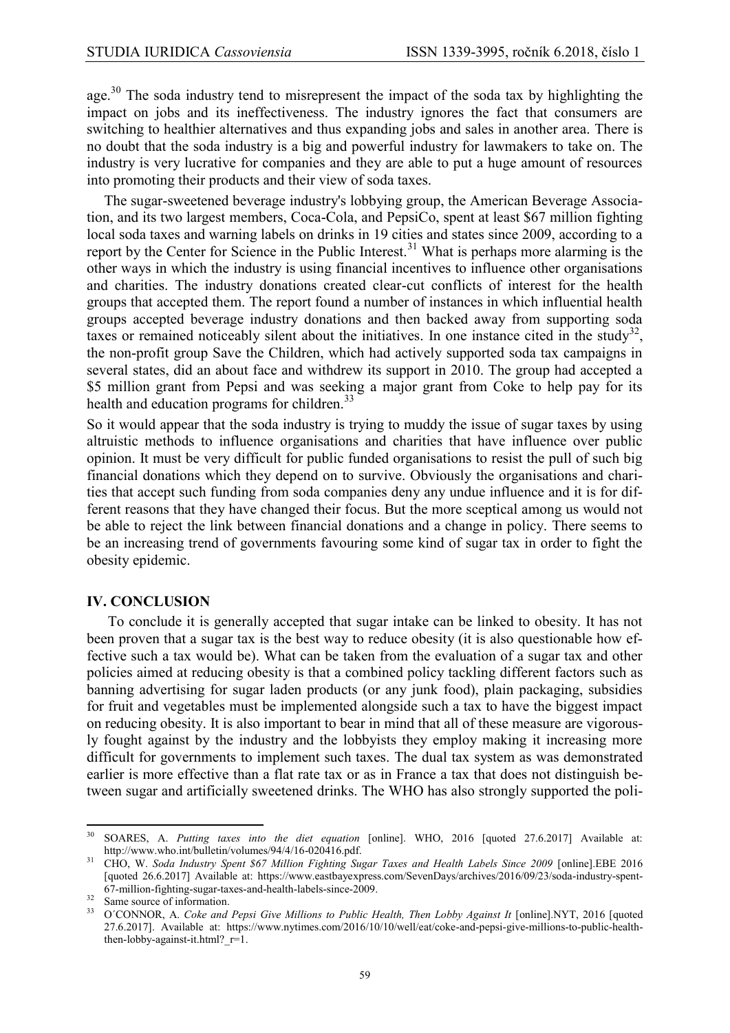age.<sup>30</sup> The soda industry tend to misrepresent the impact of the soda tax by highlighting the impact on jobs and its ineffectiveness. The industry ignores the fact that consumers are switching to healthier alternatives and thus expanding jobs and sales in another area. There is no doubt that the soda industry is a big and powerful industry for lawmakers to take on. The industry is very lucrative for companies and they are able to put a huge amount of resources into promoting their products and their view of soda taxes.

The sugar-sweetened beverage industry's lobbying group, the American Beverage Association, and its two largest members, Coca-Cola, and PepsiCo, spent at least \$67 million fighting local soda taxes and warning labels on drinks in 19 cities and states since 2009, according to a report by the Center for Science in the Public Interest.<sup>31</sup> What is perhaps more alarming is the other ways in which the industry is using financial incentives to influence other organisations and charities. The industry donations created clear-cut conflicts of interest for the health groups that accepted them. The report found a number of instances in which influential health groups accepted beverage industry donations and then backed away from supporting soda taxes or remained noticeably silent about the initiatives. In one instance cited in the study<sup>32</sup>, the non-profit group Save the Children, which had actively supported soda tax campaigns in several states, did an about face and withdrew its support in 2010. The group had accepted a \$5 million grant from Pepsi and was seeking a major grant from Coke to help pay for its health and education programs for children.<sup>33</sup>

So it would appear that the soda industry is trying to muddy the issue of sugar taxes by using altruistic methods to influence organisations and charities that have influence over public opinion. It must be very difficult for public funded organisations to resist the pull of such big financial donations which they depend on to survive. Obviously the organisations and charities that accept such funding from soda companies deny any undue influence and it is for different reasons that they have changed their focus. But the more sceptical among us would not be able to reject the link between financial donations and a change in policy. There seems to be an increasing trend of governments favouring some kind of sugar tax in order to fight the obesity epidemic.

#### **IV. CONCLUSION**

To conclude it is generally accepted that sugar intake can be linked to obesity. It has not been proven that a sugar tax is the best way to reduce obesity (it is also questionable how effective such a tax would be). What can be taken from the evaluation of a sugar tax and other policies aimed at reducing obesity is that a combined policy tackling different factors such as banning advertising for sugar laden products (or any junk food), plain packaging, subsidies for fruit and vegetables must be implemented alongside such a tax to have the biggest impact on reducing obesity. It is also important to bear in mind that all of these measure are vigorously fought against by the industry and the lobbyists they employ making it increasing more difficult for governments to implement such taxes. The dual tax system as was demonstrated earlier is more effective than a flat rate tax or as in France a tax that does not distinguish between sugar and artificially sweetened drinks. The WHO has also strongly supported the poli-

 $30^{\circ}$ <sup>30</sup> SOARES, A. *Putting taxes into the diet equation* [online]. WHO, 2016 [quoted 27.6.2017] Available at: http://www.who.int/bulletin/volumes/94/4/16-020416.pdf.

<sup>31</sup> CHO, W. *Soda Industry Spent \$67 Million Fighting Sugar Taxes and Health Labels Since 2009* [online].EBE 2016 [quoted 26.6.2017] Available at: https://www.eastbayexpress.com/SevenDays/archives/2016/09/23/soda-industry-spent-67-million-fighting-sugar-taxes-and-health-labels-since-2009.

<sup>&</sup>lt;sup>32</sup> Same source of information.

<sup>33</sup> O´CONNOR, A. *Coke and Pepsi Give Millions to Public Health, Then Lobby Against It* [online].NYT, 2016 [quoted 27.6.2017]. Available at: https://www.nytimes.com/2016/10/10/well/eat/coke-and-pepsi-give-millions-to-public-healththen-lobby-against-it.html?  $r=1$ .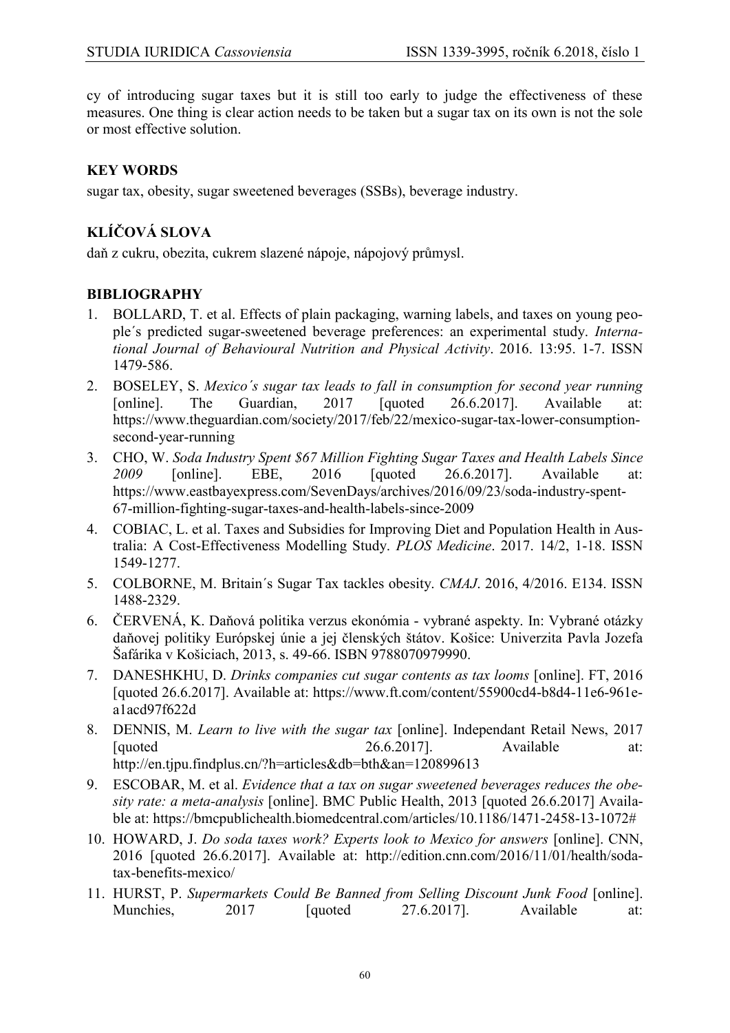cy of introducing sugar taxes but it is still too early to judge the effectiveness of these measures. One thing is clear action needs to be taken but a sugar tax on its own is not the sole or most effective solution.

## **KEY WORDS**

sugar tax, obesity, sugar sweetened beverages (SSBs), beverage industry.

# **KLÍČOVÁ SLOVA**

daň z cukru, obezita, cukrem slazené nápoje, nápojový průmysl.

## **BIBLIOGRAPHY**

- 1. BOLLARD, T. et al. Effects of plain packaging, warning labels, and taxes on young people´s predicted sugar-sweetened beverage preferences: an experimental study. *International Journal of Behavioural Nutrition and Physical Activity*. 2016. 13:95. 1-7. ISSN 1479-586.
- 2. BOSELEY, S. *Mexico´s sugar tax leads to fall in consumption for second year running* [online]. The Guardian, 2017 [quoted 26.6.2017]. Available at: [https://www.theguardian.com/society/2017/feb/22/mexico-sugar-tax-lower-consumption](https://www.theguardian.com/society/2017/feb/22/mexico-sugar-tax-lower-consumption-second-year-running)[second-year-running](https://www.theguardian.com/society/2017/feb/22/mexico-sugar-tax-lower-consumption-second-year-running)
- 3. CHO, W. *Soda Industry Spent \$67 Million Fighting Sugar Taxes and Health Labels Since 2009* [online]. EBE, 2016 [quoted 26.6.2017]. Available at: [https://www.eastbayexpress.com/SevenDays/archives/2016/09/23/soda-industry-spent-](https://www.eastbayexpress.com/SevenDays/archives/2016/09/23/soda-industry-spent-67-million-fighting-sugar-taxes-and-health-labels-since-2009)[67-million-fighting-sugar-taxes-and-health-labels-since-2009](https://www.eastbayexpress.com/SevenDays/archives/2016/09/23/soda-industry-spent-67-million-fighting-sugar-taxes-and-health-labels-since-2009)
- 4. COBIAC, L. et al. Taxes and Subsidies for Improving Diet and Population Health in Australia: A Cost-Effectiveness Modelling Study. *PLOS Medicine*. 2017. 14/2, 1-18. ISSN 1549-1277.
- 5. COLBORNE, M. Britain´s Sugar Tax tackles obesity. *CMAJ*. 2016, 4/2016. E134. ISSN 1488-2329.
- 6. ČERVENÁ, K. Daňová politika verzus ekonómia vybrané aspekty. In: Vybrané otázky daňovej politiky Európskej únie a jej členských štátov. Košice: Univerzita Pavla Jozefa Šafárika v Košiciach, 2013, s. 49-66. ISBN 9788070979990.
- 7. DANESHKHU, D. *Drinks companies cut sugar contents as tax looms* [online]. FT, 2016 [quoted 26.6.2017]. Available at: [https://www.ft.com/content/55900cd4-b8d4-11e6-961e](https://www.ft.com/content/55900cd4-b8d4-11e6-961e-a1acd97f622d)[a1acd97f622d](https://www.ft.com/content/55900cd4-b8d4-11e6-961e-a1acd97f622d)
- 8. DENNIS, M. *Learn to live with the sugar tax* [online]. Independant Retail News, 2017 [quoted 26.6.2017]. Available at: <http://en.tjpu.findplus.cn/?h=articles&db=bth&an=120899613>
- 9. ESCOBAR, M. et al. *Evidence that a tax on sugar sweetened beverages reduces the obesity rate: a meta-analysis* [online]. BMC Public Health, 2013 [quoted 26.6.2017] Available at: [https://bmcpublichealth.biomedcentral.com/articles/10.1186/1471-2458-13-1072#](https://bmcpublichealth.biomedcentral.com/articles/10.1186/1471-2458-13-1072)
- 10. HOWARD, J. *Do soda taxes work? Experts look to Mexico for answers* [online]. CNN, 2016 [quoted 26.6.2017]. Available at: [http://edition.cnn.com/2016/11/01/health/soda](http://edition.cnn.com/2016/11/01/health/soda-tax-benefits-mexico/)[tax-benefits-mexico/](http://edition.cnn.com/2016/11/01/health/soda-tax-benefits-mexico/)
- 11. HURST, P. *Supermarkets Could Be Banned from Selling Discount Junk Food* [online]. Munchies, 2017 [quoted 27.6.2017]. Available at: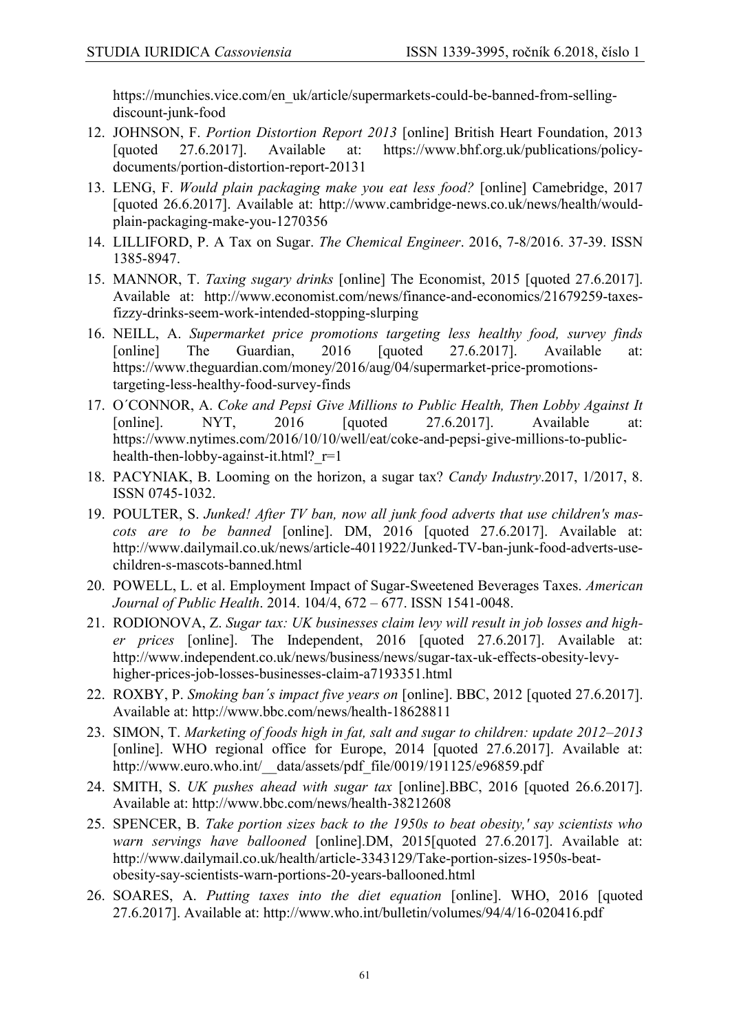[https://munchies.vice.com/en\\_uk/article/supermarkets-could-be-banned-from-selling](https://munchies.vice.com/en_uk/article/supermarkets-could-be-banned-from-selling-discount-junk-food)[discount-junk-food](https://munchies.vice.com/en_uk/article/supermarkets-could-be-banned-from-selling-discount-junk-food)

- 12. JOHNSON, F. *Portion Distortion Report 2013* [online] British Heart Foundation, 2013 [quoted 27.6.2017]. Available at: [https://www.bhf.org.uk/publications/policy](https://www.bhf.org.uk/publications/policy-documents/portion-distortion-report-2013)[documents/portion-distortion-report-20131](https://www.bhf.org.uk/publications/policy-documents/portion-distortion-report-2013)
- 13. LENG, F. *Would plain packaging make you eat less food?* [online] Camebridge, 2017 [quoted 26.6.2017]. Available at: [http://www.cambridge-news.co.uk/news/health/would](http://www.cambridge-news.co.uk/news/health/would-plain-packaging-make-you-1270356)[plain-packaging-make-you-1270356](http://www.cambridge-news.co.uk/news/health/would-plain-packaging-make-you-1270356)
- 14. LILLIFORD, P. A Tax on Sugar. *The Chemical Engineer*. 2016, 7-8/2016. 37-39. ISSN 1385-8947.
- 15. MANNOR, T. *Taxing sugary drinks* [online] The Economist, 2015 [quoted 27.6.2017]. Available at: [http://www.economist.com/news/finance-and-economics/21679259-taxes](http://www.economist.com/news/finance-and-economics/21679259-taxes-fizzy-drinks-seem-work-intended-stopping-slurping)[fizzy-drinks-seem-work-intended-stopping-slurping](http://www.economist.com/news/finance-and-economics/21679259-taxes-fizzy-drinks-seem-work-intended-stopping-slurping)
- 16. NEILL, A. *Supermarket price promotions targeting less healthy food, survey finds* [online] The Guardian, 2016 [quoted 27.6.2017]. Available at: [https://www.theguardian.com/money/2016/aug/04/supermarket-price-promotions](https://www.theguardian.com/money/2016/aug/04/supermarket-price-promotions-targeting-less-healthy-food-survey-finds)[targeting-less-healthy-food-survey-finds](https://www.theguardian.com/money/2016/aug/04/supermarket-price-promotions-targeting-less-healthy-food-survey-finds)
- 17. O´CONNOR, A. *Coke and Pepsi Give Millions to Public Health, Then Lobby Against It* [online]. NYT, 2016 [quoted 27.6.2017]. Available at: [https://www.nytimes.com/2016/10/10/well/eat/coke-and-pepsi-give-millions-to-public](https://www.nytimes.com/2016/10/10/well/eat/coke-and-pepsi-give-millions-to-public-health-then-lobby-against-it.html?_r=1)health-then-lobby-against-it.html?  $r=1$
- 18. PACYNIAK, B. Looming on the horizon, a sugar tax? *Candy Industry*.2017, 1/2017, 8. ISSN 0745-1032.
- 19. POULTER, S. *Junked! After TV ban, now all junk food adverts that use children's mascots are to be banned* [online]. DM, 2016 [quoted 27.6.2017]. Available at: http://www.dailymail.co.uk/news/article-4011922/Junked-TV-ban-junk-food-adverts-usechildren-s-mascots-banned.html
- 20. POWELL, L. et al. Employment Impact of Sugar-Sweetened Beverages Taxes. *American Journal of Public Health*. 2014. 104/4, 672 – 677. ISSN 1541-0048.
- 21. RODIONOVA, Z. *Sugar tax: UK businesses claim levy will result in job losses and higher prices* [online]. The Independent, 2016 [quoted 27.6.2017]. Available at: [http://www.independent.co.uk/news/business/news/sugar-tax-uk-effects-obesity-levy](http://www.independent.co.uk/news/business/news/sugar-tax-uk-effects-obesity-levy-higher-prices-job-losses-businesses-claim-a7193351.html)[higher-prices-job-losses-businesses-claim-a7193351.html](http://www.independent.co.uk/news/business/news/sugar-tax-uk-effects-obesity-levy-higher-prices-job-losses-businesses-claim-a7193351.html)
- 22. ROXBY, P. *Smoking ban´s impact five years on* [online]. BBC, 2012 [quoted 27.6.2017]. Available at:<http://www.bbc.com/news/health-18628811>
- 23. SIMON, T. *Marketing of foods high in fat, salt and sugar to children: update 2012–2013* [online]. WHO regional office for Europe, 2014 [quoted 27.6.2017]. Available at: http://www.euro.who.int/ data/assets/pdf\_file/0019/191125/e96859.pdf
- 24. SMITH, S. *UK pushes ahead with sugar tax* [online].BBC, 2016 [quoted 26.6.2017]. Available at:<http://www.bbc.com/news/health-38212608>
- 25. SPENCER, B. *Take portion sizes back to the 1950s to beat obesity,' say scientists who warn servings have ballooned* [online].DM, 2015[quoted 27.6.2017]. Available at: [http://www.dailymail.co.uk/health/article-3343129/Take-portion-sizes-1950s-beat](http://www.dailymail.co.uk/health/article-3343129/Take-portion-sizes-1950s-beat-obesity-say-scientists-warn-portions-20-years-ballooned.html)[obesity-say-scientists-warn-portions-20-years-ballooned.html](http://www.dailymail.co.uk/health/article-3343129/Take-portion-sizes-1950s-beat-obesity-say-scientists-warn-portions-20-years-ballooned.html)
- 26. SOARES, A. *Putting taxes into the diet equation* [online]. WHO, 2016 [quoted 27.6.2017]. Available at:<http://www.who.int/bulletin/volumes/94/4/16-020416.pdf>